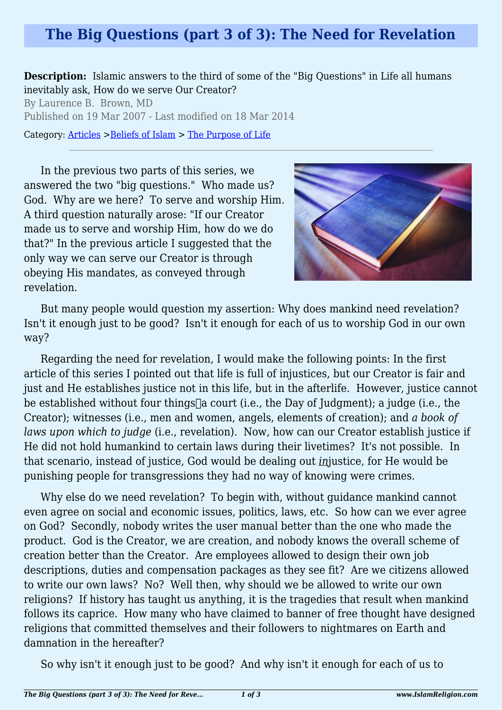## **The Big Questions (part 3 of 3): The Need for Revelation**

**Description:** Islamic answers to the third of some of the "Big Questions" in Life all humans inevitably ask, How do we serve Our Creator?

By Laurence B. Brown, MD Published on 19 Mar 2007 - Last modified on 18 Mar 2014

Category: [Articles](http://www.islamreligion.com/articles/) >[Beliefs of Islam](http://www.islamreligion.com/category/48/) > [The Purpose of Life](http://www.islamreligion.com/category/52/)

In the previous two parts of this series, we answered the two "big questions." Who made us? God. Why are we here? To serve and worship Him. A third question naturally arose: "If our Creator made us to serve and worship Him, how do we do that?" In the previous article I suggested that the only way we can serve our Creator is through obeying His mandates, as conveyed through revelation.



But many people would question my assertion: Why does mankind need revelation? Isn't it enough just to be good? Isn't it enough for each of us to worship God in our own way?

Regarding the need for revelation, I would make the following points: In the first article of this series I pointed out that life is full of injustices, but our Creator is fair and just and He establishes justice not in this life, but in the afterlife. However, justice cannot be established without four things a court (i.e., the Day of Judgment); a judge (i.e., the Creator); witnesses (i.e., men and women, angels, elements of creation); and *a book of laws upon which to judge* (i.e., revelation). Now, how can our Creator establish justice if He did not hold humankind to certain laws during their livetimes? It's not possible. In that scenario, instead of justice, God would be dealing out *in*justice, for He would be punishing people for transgressions they had no way of knowing were crimes.

Why else do we need revelation? To begin with, without guidance mankind cannot even agree on social and economic issues, politics, laws, etc. So how can we ever agree on God? Secondly, nobody writes the user manual better than the one who made the product. God is the Creator, we are creation, and nobody knows the overall scheme of creation better than the Creator. Are employees allowed to design their own job descriptions, duties and compensation packages as they see fit? Are we citizens allowed to write our own laws? No? Well then, why should we be allowed to write our own religions? If history has taught us anything, it is the tragedies that result when mankind follows its caprice. How many who have claimed to banner of free thought have designed religions that committed themselves and their followers to nightmares on Earth and damnation in the hereafter?

So why isn't it enough just to be good? And why isn't it enough for each of us to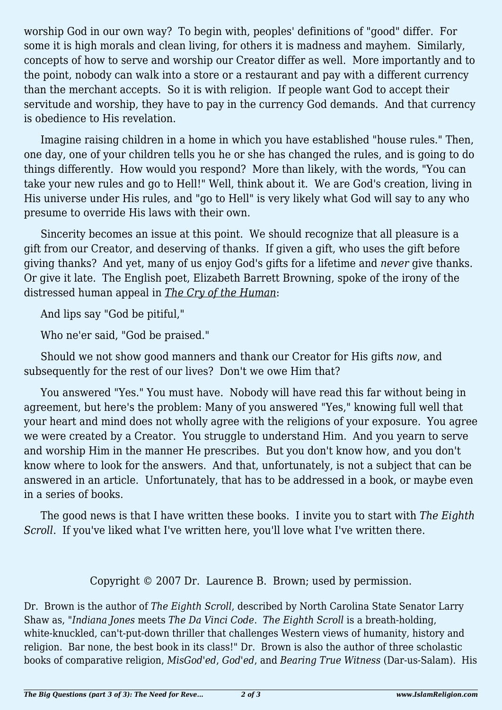worship God in our own way? To begin with, peoples' definitions of "good" differ. For some it is high morals and clean living, for others it is madness and mayhem. Similarly, concepts of how to serve and worship our Creator differ as well. More importantly and to the point, nobody can walk into a store or a restaurant and pay with a different currency than the merchant accepts. So it is with religion. If people want God to accept their servitude and worship, they have to pay in the currency God demands. And that currency is obedience to His revelation.

Imagine raising children in a home in which you have established "house rules." Then, one day, one of your children tells you he or she has changed the rules, and is going to do things differently. How would you respond? More than likely, with the words, "You can take your new rules and go to Hell!" Well, think about it. We are God's creation, living in His universe under His rules, and "go to Hell" is very likely what God will say to any who presume to override His laws with their own.

Sincerity becomes an issue at this point. We should recognize that all pleasure is a gift from our Creator, and deserving of thanks. If given a gift, who uses the gift before giving thanks? And yet, many of us enjoy God's gifts for a lifetime and *never* give thanks. Or give it late. The English poet, Elizabeth Barrett Browning, spoke of the irony of the distressed human appeal in *The Cry of the Human*:

And lips say "God be pitiful,"

Who ne'er said, "God be praised."

Should we not show good manners and thank our Creator for His gifts *now*, and subsequently for the rest of our lives? Don't we owe Him that?

You answered "Yes." You must have. Nobody will have read this far without being in agreement, but here's the problem: Many of you answered "Yes," knowing full well that your heart and mind does not wholly agree with the religions of your exposure. You agree we were created by a Creator. You struggle to understand Him. And you yearn to serve and worship Him in the manner He prescribes. But you don't know how, and you don't know where to look for the answers. And that, unfortunately, is not a subject that can be answered in an article. Unfortunately, that has to be addressed in a book, or maybe even in a series of books.

The good news is that I have written these books. I invite you to start with *The Eighth Scroll*. If you've liked what I've written here, you'll love what I've written there.

Copyright © 2007 Dr. Laurence B. Brown; used by permission.

Dr. Brown is the author of *The Eighth Scroll*, described by North Carolina State Senator Larry Shaw as, "*Indiana Jones* meets *The Da Vinci Code*. *The Eighth Scroll* is a breath-holding, white-knuckled, can't-put-down thriller that challenges Western views of humanity, history and religion. Bar none, the best book in its class!" Dr. Brown is also the author of three scholastic books of comparative religion, *MisGod'ed*, *God'ed*, and *Bearing True Witness* (Dar-us-Salam). His